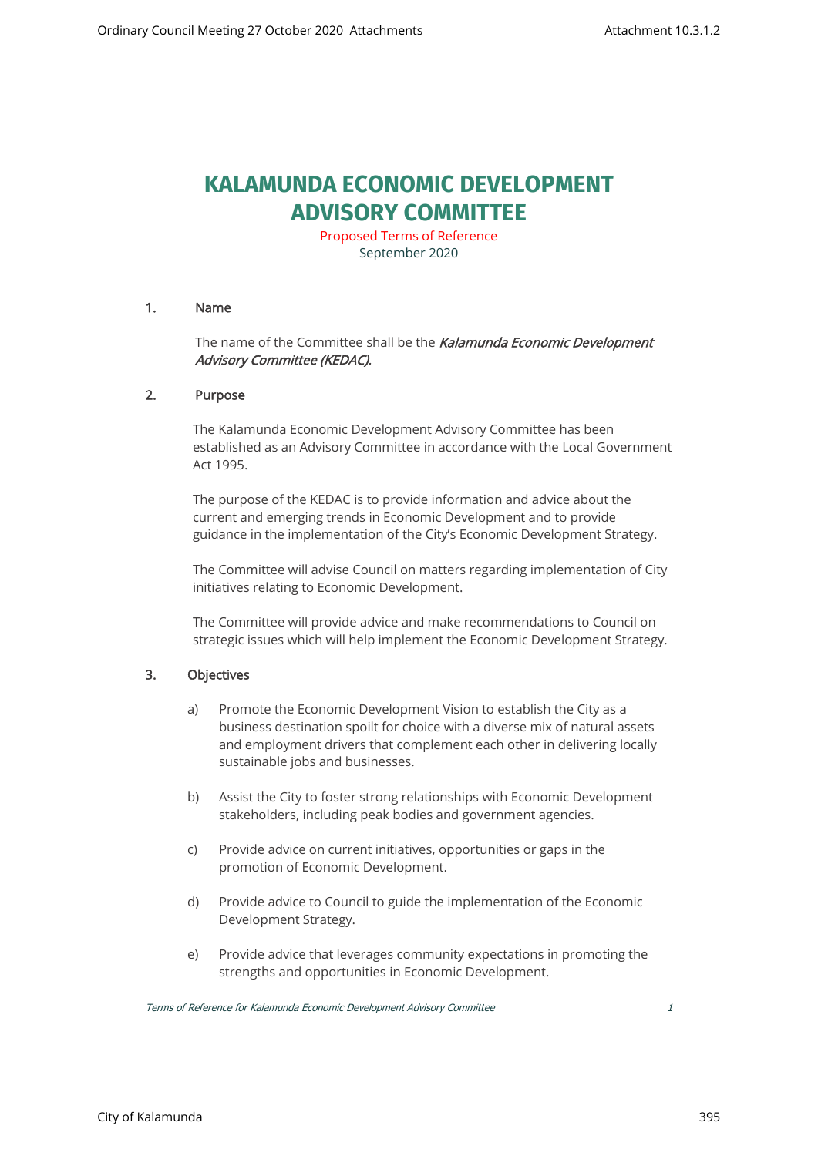# **KALAMUNDA ECONOMIC DEVELOPMENT ADVISORY COMMITTEE**

Proposed Terms of Reference September 2020

#### 1. Name

The name of the Committee shall be the Kalamunda Economic Development Advisory Committee (KEDAC).

#### 2. Purpose

The Kalamunda Economic Development Advisory Committee has been established as an Advisory Committee in accordance with the Local Government Act 1995.

The purpose of the KEDAC is to provide information and advice about the current and emerging trends in Economic Development and to provide guidance in the implementation of the City's Economic Development Strategy.

The Committee will advise Council on matters regarding implementation of City initiatives relating to Economic Development.

The Committee will provide advice and make recommendations to Council on strategic issues which will help implement the Economic Development Strategy.

#### 3. Objectives

- a) Promote the Economic Development Vision to establish the City as a business destination spoilt for choice with a diverse mix of natural assets and employment drivers that complement each other in delivering locally sustainable jobs and businesses.
- b) Assist the City to foster strong relationships with Economic Development stakeholders, including peak bodies and government agencies.
- c) Provide advice on current initiatives, opportunities or gaps in the promotion of Economic Development.
- d) Provide advice to Council to guide the implementation of the Economic Development Strategy.
- e) Provide advice that leverages community expectations in promoting the strengths and opportunities in Economic Development.

Terms of Reference for Kalamunda Economic Development Advisory Committee 1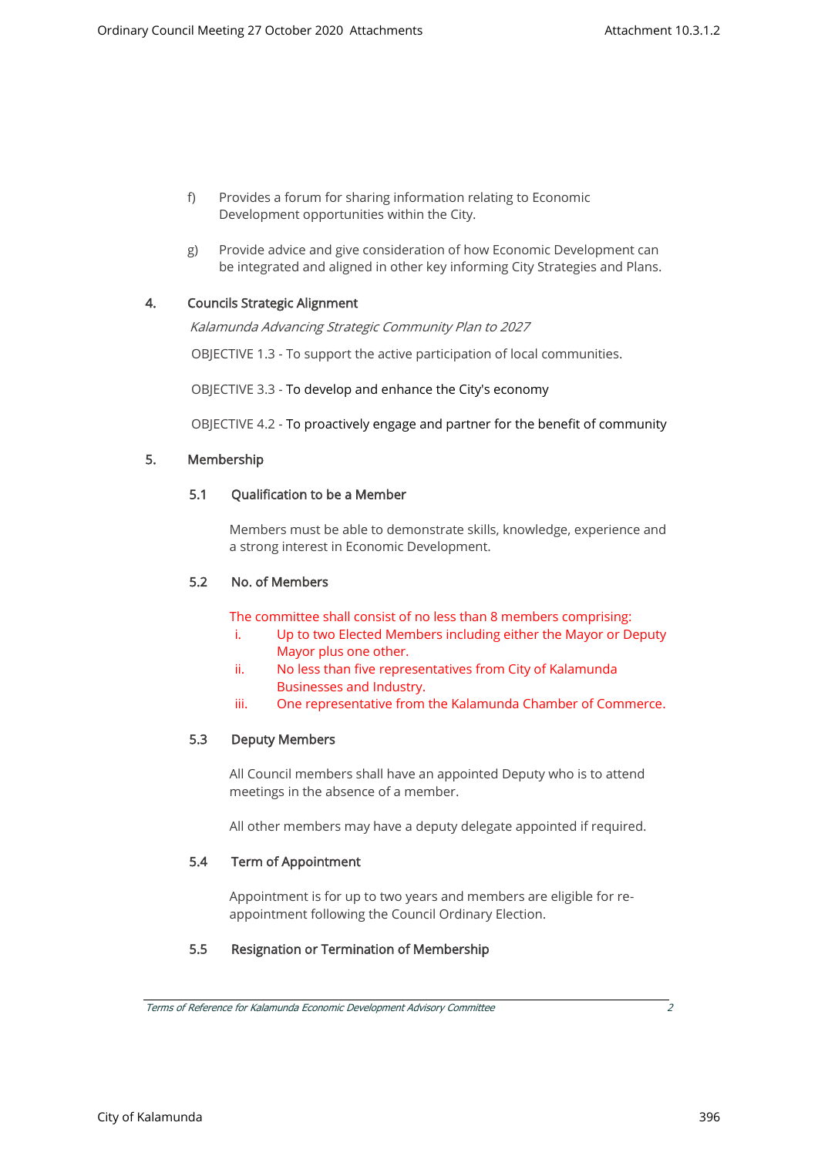- f) Provides a forum for sharing information relating to Economic Development opportunities within the City.
- g) Provide advice and give consideration of how Economic Development can be integrated and aligned in other key informing City Strategies and Plans.

# 4. Councils Strategic Alignment

Kalamunda Advancing Strategic Community Plan to 2027

OBJECTIVE 1.3 - To support the active participation of local communities.

OBJECTIVE 3.3 - To develop and enhance the City's economy

OBJECTIVE 4.2 - To proactively engage and partner for the benefit of community

# 5. Membership

#### 5.1 Qualification to be a Member

Members must be able to demonstrate skills, knowledge, experience and a strong interest in Economic Development.

### 5.2 No. of Members

The committee shall consist of no less than 8 members comprising:

- i. Up to two Elected Members including either the Mayor or Deputy Mayor plus one other.
- ii. No less than five representatives from City of Kalamunda Businesses and Industry.
- iii. One representative from the Kalamunda Chamber of Commerce.

#### 5.3 Deputy Members

All Council members shall have an appointed Deputy who is to attend meetings in the absence of a member.

All other members may have a deputy delegate appointed if required.

#### 5.4 Term of Appointment

Appointment is for up to two years and members are eligible for reappointment following the Council Ordinary Election.

# 5.5 Resignation or Termination of Membership

City of Kalamunda 396

Terms of Reference for Kalamunda Economic Development Advisory Committee 2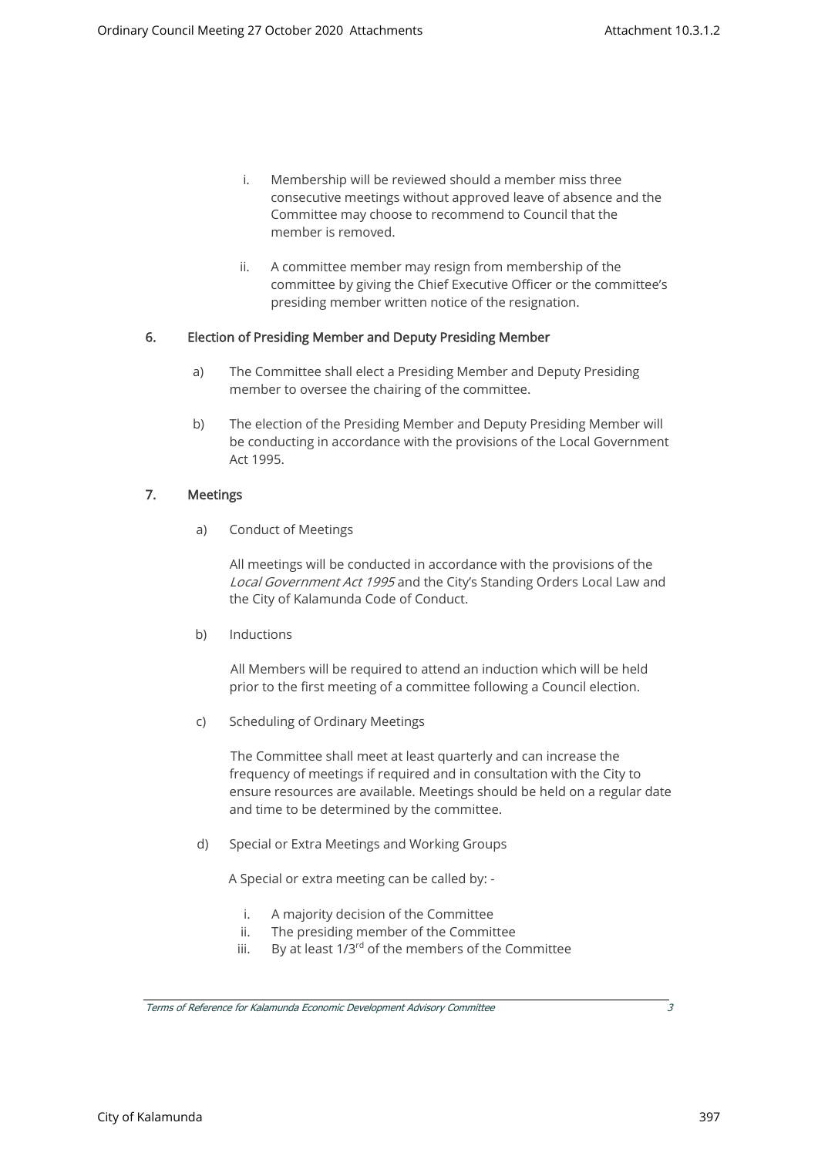- i. Membership will be reviewed should a member miss three consecutive meetings without approved leave of absence and the Committee may choose to recommend to Council that the member is removed.
- ii. A committee member may resign from membership of the committee by giving the Chief Executive Officer or the committee's presiding member written notice of the resignation.

# 6. Election of Presiding Member and Deputy Presiding Member

- a) The Committee shall elect a Presiding Member and Deputy Presiding member to oversee the chairing of the committee.
- b) The election of the Presiding Member and Deputy Presiding Member will be conducting in accordance with the provisions of the Local Government Act 1995.

#### 7. Meetings

a) Conduct of Meetings

All meetings will be conducted in accordance with the provisions of the Local Government Act 1995 and the City's Standing Orders Local Law and the City of Kalamunda Code of Conduct.

b) Inductions

All Members will be required to attend an induction which will be held prior to the first meeting of a committee following a Council election.

c) Scheduling of Ordinary Meetings

The Committee shall meet at least quarterly and can increase the frequency of meetings if required and in consultation with the City to ensure resources are available. Meetings should be held on a regular date and time to be determined by the committee.

d) Special or Extra Meetings and Working Groups

A Special or extra meeting can be called by: -

- i. A majority decision of the Committee
- ii. The presiding member of the Committee
- iii. By at least  $1/3^{rd}$  of the members of the Committee

Terms of Reference for Kalamunda Economic Development Advisory Committee 3

City of Kalamunda 397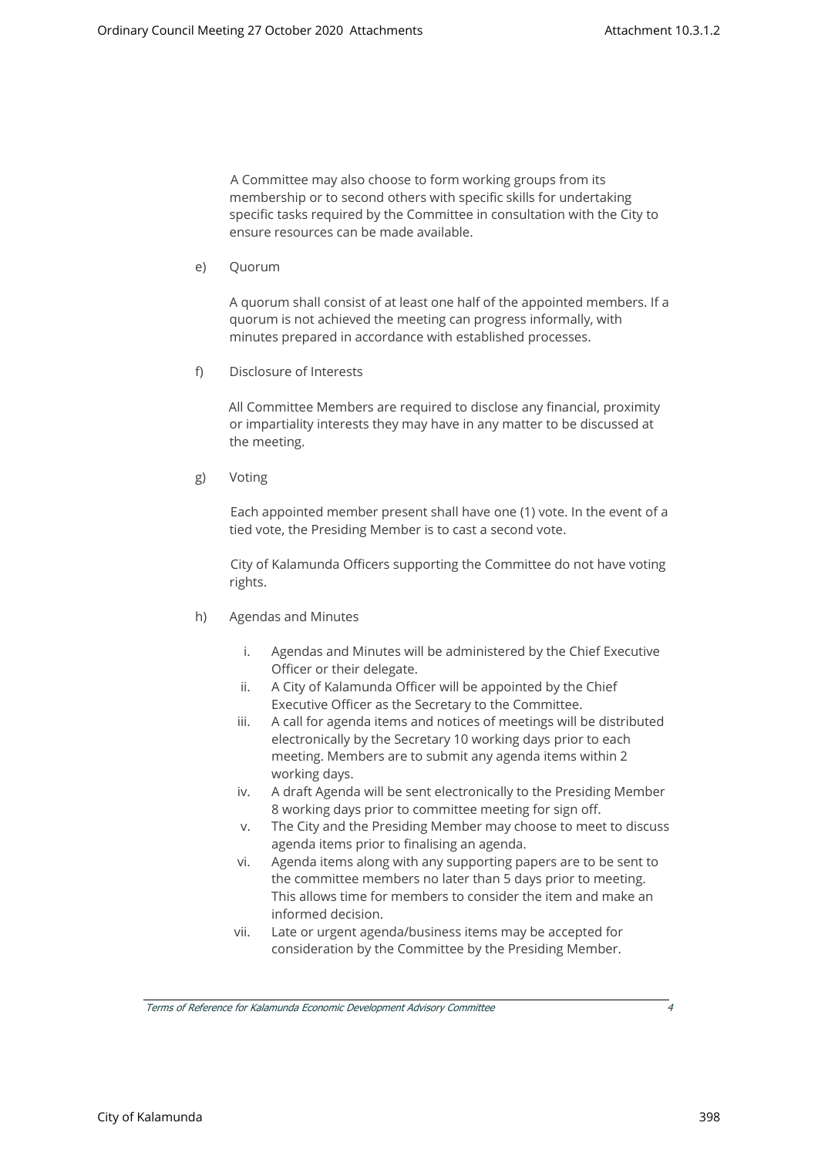A Committee may also choose to form working groups from its membership or to second others with specific skills for undertaking specific tasks required by the Committee in consultation with the City to ensure resources can be made available.

e) Quorum

A quorum shall consist of at least one half of the appointed members. If a quorum is not achieved the meeting can progress informally, with minutes prepared in accordance with established processes.

f) Disclosure of Interests

All Committee Members are required to disclose any financial, proximity or impartiality interests they may have in any matter to be discussed at the meeting.

g) Voting

Each appointed member present shall have one (1) vote. In the event of a tied vote, the Presiding Member is to cast a second vote.

City of Kalamunda Officers supporting the Committee do not have voting rights.

- h) Agendas and Minutes
	- i. Agendas and Minutes will be administered by the Chief Executive Officer or their delegate.
	- ii. A City of Kalamunda Officer will be appointed by the Chief Executive Officer as the Secretary to the Committee.
	- iii. A call for agenda items and notices of meetings will be distributed electronically by the Secretary 10 working days prior to each meeting. Members are to submit any agenda items within 2 working days.
	- iv. A draft Agenda will be sent electronically to the Presiding Member 8 working days prior to committee meeting for sign off.
	- v. The City and the Presiding Member may choose to meet to discuss agenda items prior to finalising an agenda.
	- vi. Agenda items along with any supporting papers are to be sent to the committee members no later than 5 days prior to meeting. This allows time for members to consider the item and make an informed decision.
	- vii. Late or urgent agenda/business items may be accepted for consideration by the Committee by the Presiding Member.

Terms of Reference for Kalamunda Economic Development Advisory Committee 4